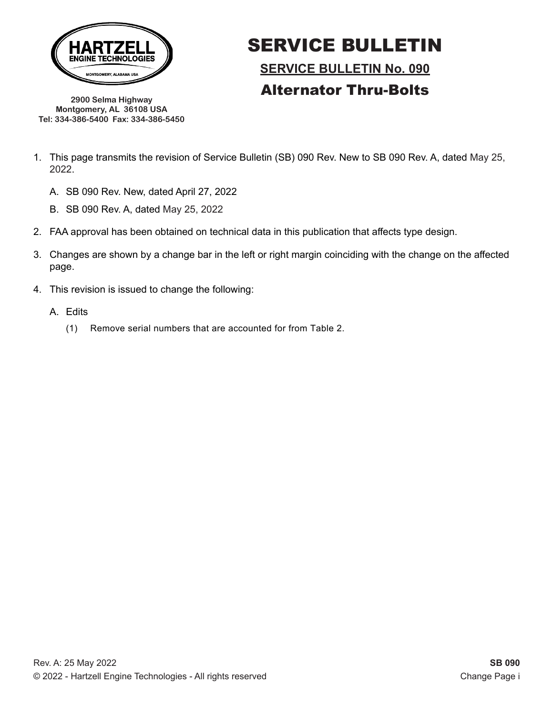

SERVICE BULLETIN **SERVICE BULLETIN No. 090** Alternator Thru-Bolts

**2900 Selma Highway Montgomery, AL 36108 USA Tel: 334-386-5400 Fax: 334-386-5450**

- 1. This page transmits the revision of Service Bulletin (SB) 090 Rev. New to SB 090 Rev. A, dated May 25, 2022.
	- A. SB 090 Rev. New, dated April 27, 2022
	- B. SB 090 Rev. A, dated May 25, 2022
- 2. FAA approval has been obtained on technical data in this publication that affects type design.
- 3. Changes are shown by a change bar in the left or right margin coinciding with the change on the affected page.
- 4. This revision is issued to change the following:
	- A. Edits
		- (1) Remove serial numbers that are accounted for from Table 2.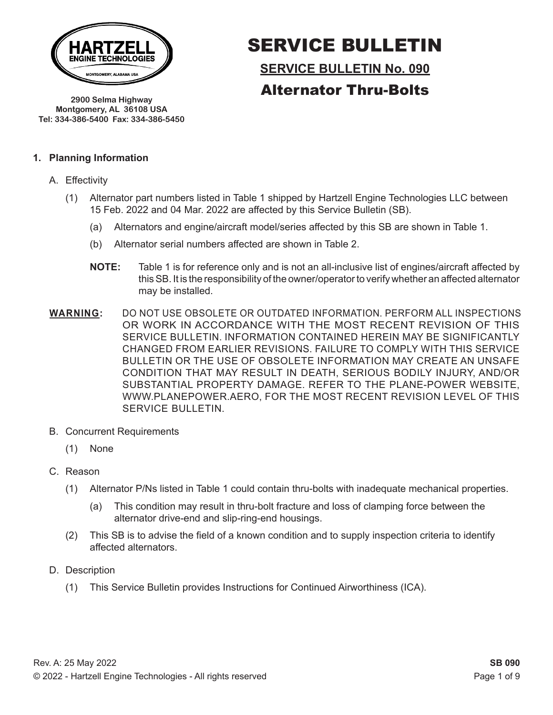

SERVICE BULLETIN **SERVICE BULLETIN No. 090**

Alternator Thru-Bolts

**2900 Selma Highway Montgomery, AL 36108 USA Tel: 334-386-5400 Fax: 334-386-5450**

#### **1. Planning Information**

- A. Effectivity
	- (1) Alternator part numbers listed in Table 1 shipped by Hartzell Engine Technologies LLC between 15 Feb. 2022 and 04 Mar. 2022 are affected by this Service Bulletin (SB).
		- (a) Alternators and engine/aircraft model/series affected by this SB are shown in Table 1.
		- (b) Alternator serial numbers affected are shown in Table 2.
		- **NOTE:** Table 1 is for reference only and is not an all-inclusive list of engines/aircraft affected by this SB. It is the responsibility of the owner/operator to verify whether an affected alternator may be installed.
- **WARNING:** DO NOT USE OBSOLETE OR OUTDATED INFORMATION. PERFORM ALL INSPECTIONS OR WORK IN ACCORDANCE WITH THE MOST RECENT REVISION OF THIS SERVICE BULLETIN. INFORMATION CONTAINED HEREIN MAY BE SIGNIFICANTLY CHANGED FROM EARLIER REVISIONS. FAILURE TO COMPLY WITH THIS SERVICE BULLETIN OR THE USE OF OBSOLETE INFORMATION MAY CREATE AN UNSAFE CONDITION THAT MAY RESULT IN DEATH, SERIOUS BODILY INJURY, AND/OR SUBSTANTIAL PROPERTY DAMAGE. REFER TO THE PLANE-POWER WEBSITE, WWW.PLANEPOWER.AERO, FOR THE MOST RECENT REVISION LEVEL OF THIS SERVICE BULLETIN.
- B. Concurrent Requirements
	- (1) None
- C. Reason
	- (1) Alternator P/Ns listed in Table 1 could contain thru-bolts with inadequate mechanical properties.
		- (a) This condition may result in thru-bolt fracture and loss of clamping force between the alternator drive-end and slip-ring-end housings.
	- (2) This SB is to advise the field of a known condition and to supply inspection criteria to identify affected alternators.
- D. Description
	- (1) This Service Bulletin provides Instructions for Continued Airworthiness (ICA).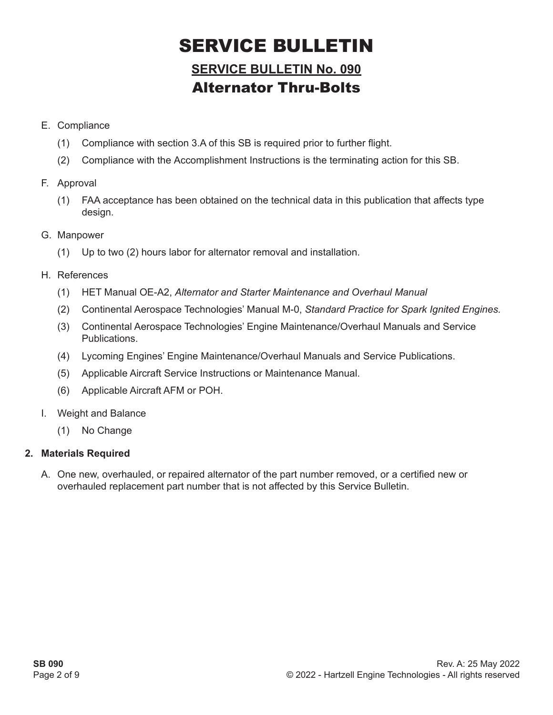## **SERVICE BULLETIN No. 090** Alternator Thru-Bolts

- E. Compliance
	- (1) Compliance with section 3.A of this SB is required prior to further flight.
	- (2) Compliance with the Accomplishment Instructions is the terminating action for this SB.
- F. Approval
	- (1) FAA acceptance has been obtained on the technical data in this publication that affects type design.
- G. Manpower
	- (1) Up to two (2) hours labor for alternator removal and installation.
- H. References
	- (1) HET Manual OE-A2, *Alternator and Starter Maintenance and Overhaul Manual*
	- (2) Continental Aerospace Technologies' Manual M-0, *Standard Practice for Spark Ignited Engines.*
	- (3) Continental Aerospace Technologies' Engine Maintenance/Overhaul Manuals and Service Publications.
	- (4) Lycoming Engines' Engine Maintenance/Overhaul Manuals and Service Publications.
	- (5) Applicable Aircraft Service Instructions or Maintenance Manual.
	- (6) Applicable Aircraft AFM or POH.
- I. Weight and Balance
	- (1) No Change

### **2. Materials Required**

A. One new, overhauled, or repaired alternator of the part number removed, or a certified new or overhauled replacement part number that is not affected by this Service Bulletin.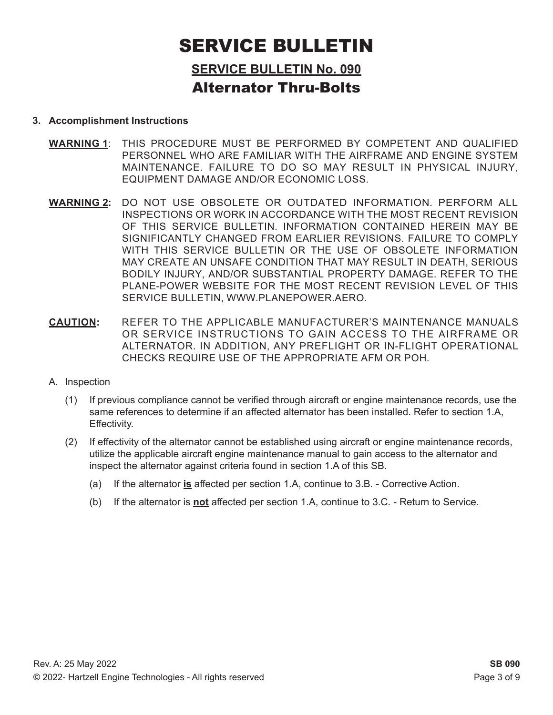### **SERVICE BULLETIN No. 090** Alternator Thru-Bolts

#### **3. Accomplishment Instructions**

- **WARNING 1**: THIS PROCEDURE MUST BE PERFORMED BY COMPETENT AND QUALIFIED PERSONNEL WHO ARE FAMILIAR WITH THE AIRFRAME AND ENGINE SYSTEM MAINTENANCE. FAILURE TO DO SO MAY RESULT IN PHYSICAL INJURY, EQUIPMENT DAMAGE AND/OR ECONOMIC LOSS.
- **WARNING 2:** DO NOT USE OBSOLETE OR OUTDATED INFORMATION. PERFORM ALL INSPECTIONS OR WORK IN ACCORDANCE WITH THE MOST RECENT REVISION OF THIS SERVICE BULLETIN. INFORMATION CONTAINED HEREIN MAY BE SIGNIFICANTLY CHANGED FROM EARLIER REVISIONS. FAILURE TO COMPLY WITH THIS SERVICE BULLETIN OR THE USE OF OBSOLETE INFORMATION MAY CREATE AN UNSAFE CONDITION THAT MAY RESULT IN DEATH, SERIOUS BODILY INJURY, AND/OR SUBSTANTIAL PROPERTY DAMAGE. REFER TO THE PLANE-POWER WEBSITE FOR THE MOST RECENT REVISION LEVEL OF THIS SERVICE BULLETIN, WWW.PLANEPOWER.AERO.
- **CAUTION:** REFER TO THE APPLICABLE MANUFACTURER'S MAINTENANCE MANUALS OR SERVICE INSTRUCTIONS TO GAIN ACCESS TO THE AIRFRAME OR ALTERNATOR. IN ADDITION, ANY PREFLIGHT OR IN-FLIGHT OPERATIONAL CHECKS REQUIRE USE OF THE APPROPRIATE AFM OR POH.
- A. Inspection
	- (1) If previous compliance cannot be verified through aircraft or engine maintenance records, use the same references to determine if an affected alternator has been installed. Refer to section 1.A, Effectivity.
	- (2) If effectivity of the alternator cannot be established using aircraft or engine maintenance records, utilize the applicable aircraft engine maintenance manual to gain access to the alternator and inspect the alternator against criteria found in section 1.A of this SB.
		- (a) If the alternator **is** affected per section 1.A, continue to 3.B. Corrective Action.
		- (b) If the alternator is **not** affected per section 1.A, continue to 3.C. Return to Service.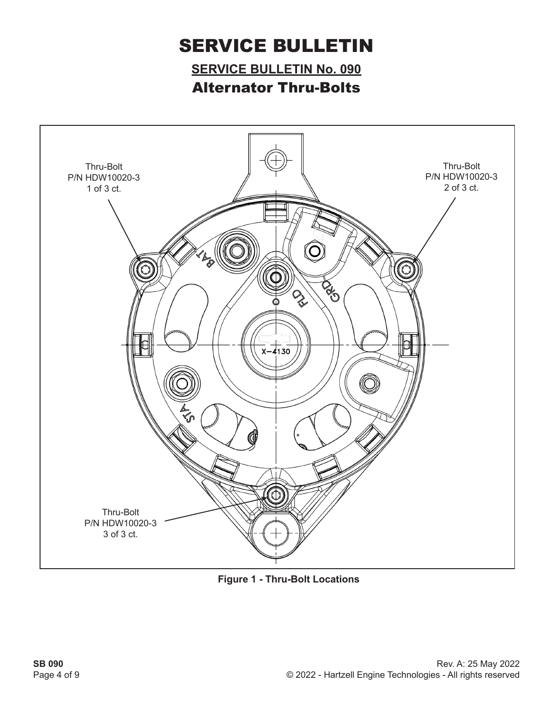**SERVICE BULLETIN No. 090** Alternator Thru-Bolts



**Figure 1 - Thru-Bolt Locations**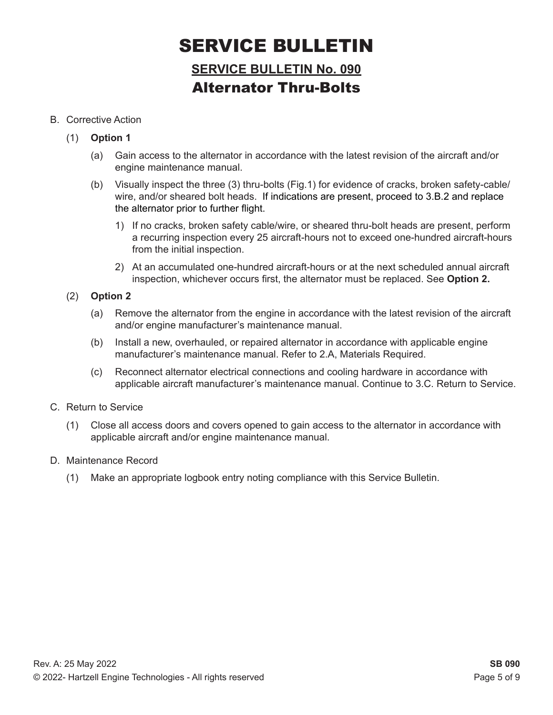## **SERVICE BULLETIN No. 090** Alternator Thru-Bolts

#### B. Corrective Action

- (1) **Option 1**
	- (a) Gain access to the alternator in accordance with the latest revision of the aircraft and/or engine maintenance manual.
	- (b) Visually inspect the three (3) thru-bolts (Fig.1) for evidence of cracks, broken safety-cable/ wire, and/or sheared bolt heads. If indications are present, proceed to 3.B.2 and replace the alternator prior to further flight.
		- 1) If no cracks, broken safety cable/wire, or sheared thru-bolt heads are present, perform a recurring inspection every 25 aircraft-hours not to exceed one-hundred aircraft-hours from the initial inspection.
		- 2) At an accumulated one-hundred aircraft-hours or at the next scheduled annual aircraft inspection, whichever occurs first, the alternator must be replaced. See **Option 2.**
- (2) **Option 2**
	- (a) Remove the alternator from the engine in accordance with the latest revision of the aircraft and/or engine manufacturer's maintenance manual.
	- (b) Install a new, overhauled, or repaired alternator in accordance with applicable engine manufacturer's maintenance manual. Refer to 2.A, Materials Required.
	- (c) Reconnect alternator electrical connections and cooling hardware in accordance with applicable aircraft manufacturer's maintenance manual. Continue to 3.C. Return to Service.
- C. Return to Service
	- (1) Close all access doors and covers opened to gain access to the alternator in accordance with applicable aircraft and/or engine maintenance manual.
- D. Maintenance Record
	- (1) Make an appropriate logbook entry noting compliance with this Service Bulletin.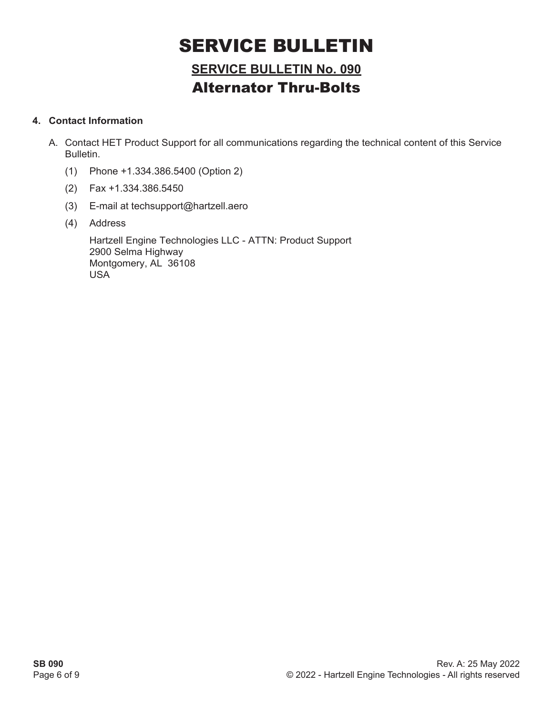## **SERVICE BULLETIN No. 090** Alternator Thru-Bolts

### **4. Contact Information**

- A. Contact HET Product Support for all communications regarding the technical content of this Service Bulletin.
	- (1) Phone +1.334.386.5400 (Option 2)
	- (2) Fax +1.334.386.5450
	- (3) E-mail at techsupport@hartzell.aero
	- (4) Address

Hartzell Engine Technologies LLC - ATTN: Product Support 2900 Selma Highway Montgomery, AL 36108 USA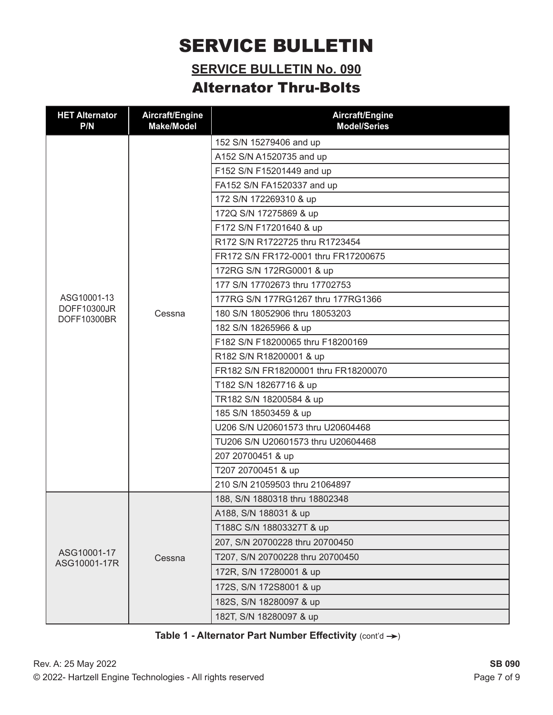### **SERVICE BULLETIN No. 090** Alternator Thru-Bolts

| <b>HET Alternator</b><br>P/N | Aircraft/Engine<br><b>Make/Model</b> | Aircraft/Engine<br><b>Model/Series</b> |
|------------------------------|--------------------------------------|----------------------------------------|
|                              |                                      | 152 S/N 15279406 and up                |
|                              |                                      | A152 S/N A1520735 and up               |
|                              | Cessna                               | F152 S/N F15201449 and up              |
|                              |                                      | FA152 S/N FA1520337 and up             |
|                              |                                      | 172 S/N 172269310 & up                 |
|                              |                                      | 172Q S/N 17275869 & up                 |
|                              |                                      | F172 S/N F17201640 & up                |
|                              |                                      | R172 S/N R1722725 thru R1723454        |
|                              |                                      | FR172 S/N FR172-0001 thru FR17200675   |
|                              |                                      | 172RG S/N 172RG0001 & up               |
| ASG10001-13                  |                                      | 177 S/N 17702673 thru 17702753         |
|                              |                                      | 177RG S/N 177RG1267 thru 177RG1366     |
| DOFF10300JR<br>DOFF10300BR   |                                      | 180 S/N 18052906 thru 18053203         |
|                              |                                      | 182 S/N 18265966 & up                  |
|                              |                                      | F182 S/N F18200065 thru F18200169      |
|                              |                                      | R182 S/N R18200001 & up                |
|                              |                                      | FR182 S/N FR18200001 thru FR18200070   |
|                              |                                      | T182 S/N 18267716 & up                 |
|                              |                                      | TR182 S/N 18200584 & up                |
|                              |                                      | 185 S/N 18503459 & up                  |
|                              |                                      | U206 S/N U20601573 thru U20604468      |
|                              |                                      | TU206 S/N U20601573 thru U20604468     |
|                              |                                      | 207 20700451 & up                      |
|                              |                                      | T207 20700451 & up                     |
|                              |                                      | 210 S/N 21059503 thru 21064897         |
|                              | Cessna                               | 188, S/N 1880318 thru 18802348         |
|                              |                                      | A188, S/N 188031 & up                  |
| ASG10001-17<br>ASG10001-17R  |                                      | T188C S/N 18803327T & up               |
|                              |                                      | 207, S/N 20700228 thru 20700450        |
|                              |                                      | T207, S/N 20700228 thru 20700450       |
|                              |                                      | 172R, S/N 17280001 & up                |
|                              |                                      | 172S, S/N 172S8001 & up                |
|                              |                                      | 182S, S/N 18280097 & up                |
|                              |                                      | 182T, S/N 18280097 & up                |

Table 1 - Alternator Part Number Effectivity (cont'd  $\rightarrow$ )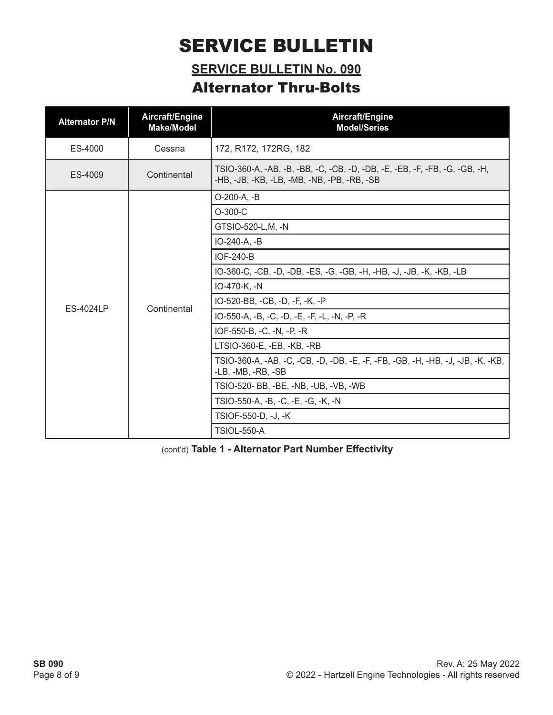### **SERVICE BULLETIN No. 090** Alternator Thru-Bolts

| <b>Alternator P/N</b> | Aircraft/Engine<br><b>Make/Model</b> | Aircraft/Engine<br><b>Model/Series</b>                                                                                    |  |
|-----------------------|--------------------------------------|---------------------------------------------------------------------------------------------------------------------------|--|
| ES-4000               | Cessna                               | 172, R172, 172RG, 182                                                                                                     |  |
| ES-4009               | Continental                          | TSIO-360-A, -AB, -B, -BB, -C, -CB, -D, -DB, -E, -EB, -F, -FB, -G, -GB, -H,<br>-HB, -JB, -KB, -LB, -MB, -NB, -PB, -RB, -SB |  |
|                       | Continental                          | O-200-A, -B                                                                                                               |  |
|                       |                                      | $O-300-C$                                                                                                                 |  |
|                       |                                      | GTSIO-520-L, M, -N                                                                                                        |  |
|                       |                                      | IO-240-A, -B                                                                                                              |  |
|                       |                                      | <b>IOF-240-B</b>                                                                                                          |  |
|                       |                                      | IO-360-C, -CB, -D, -DB, -ES, -G, -GB, -H, -HB, -J, -JB, -K, -KB, -LB                                                      |  |
|                       |                                      | IO-470-K, -N                                                                                                              |  |
| <b>ES-4024LP</b>      |                                      | IO-520-BB, -CB, -D, -F, -K, -P                                                                                            |  |
|                       |                                      | IO-550-A, -B, -C, -D, -E, -F, -L, -N, -P, -R                                                                              |  |
|                       |                                      | IOF-550-B, -C, -N, -P, -R                                                                                                 |  |
|                       |                                      | LTSIO-360-E, -EB, -KB, -RB                                                                                                |  |
|                       |                                      | TSIO-360-A, -AB, -C, -CB, -D, -DB, -E, -F, -FB, -GB, -H, -HB, -J, -JB, -K, -KB,<br>-LB, -MB, -RB, -SB                     |  |
|                       |                                      | TSIO-520- BB, -BE, -NB, -UB, -VB, -WB                                                                                     |  |
|                       |                                      | TSIO-550-A, -B, -C, -E, -G, -K, -N                                                                                        |  |
|                       |                                      | TSIOF-550-D, -J, -K                                                                                                       |  |
|                       |                                      | <b>TSIOL-550-A</b>                                                                                                        |  |

(cont'd) **Table 1 - Alternator Part Number Effectivity**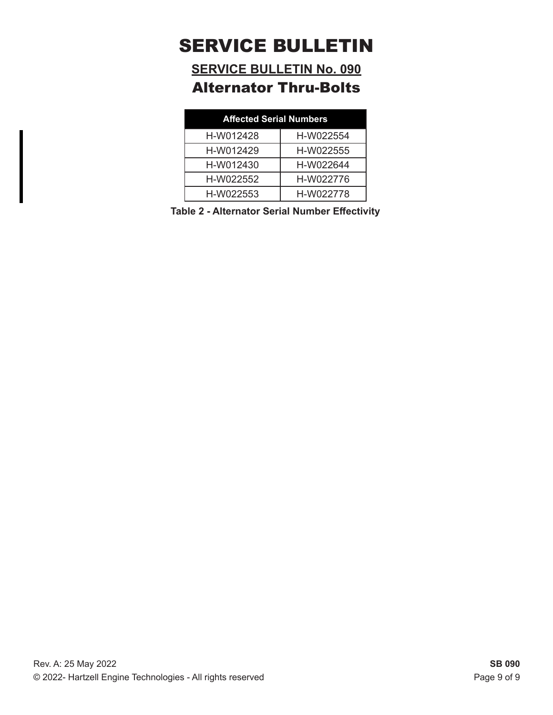**SERVICE BULLETIN No. 090** Alternator Thru-Bolts

| <b>Affected Serial Numbers</b> |           |  |  |  |
|--------------------------------|-----------|--|--|--|
| H-W012428                      | H-W022554 |  |  |  |
| H-W012429                      | H-W022555 |  |  |  |
| H-W012430                      | H-W022644 |  |  |  |
| H-W022552                      | H-W022776 |  |  |  |
| H-W022553                      | H-W022778 |  |  |  |

**Table 2 - Alternator Serial Number Effectivity**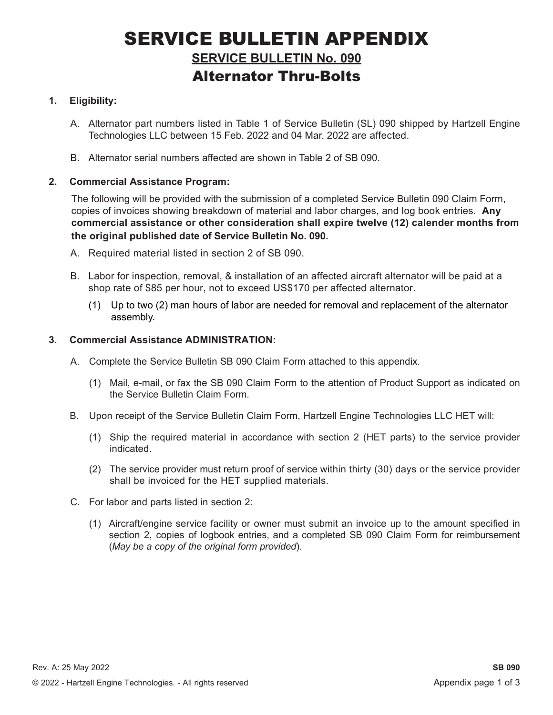## SERVICE BULLETIN APPENDIX **SERVICE BULLETIN No. 090** Alternator Thru-Bolts

### **1. Eligibility:**

- A. Alternator part numbers listed in Table 1 of Service Bulletin (SL) 090 shipped by Hartzell Engine Technologies LLC between 15 Feb. 2022 and 04 Mar. 2022 are affected.
- B. Alternator serial numbers affected are shown in Table 2 of SB 090.

### **2. Commercial Assistance Program:**

The following will be provided with the submission of a completed Service Bulletin 090 Claim Form, copies of invoices showing breakdown of material and labor charges, and log book entries. **Any commercial assistance or other consideration shall expire twelve (12) calender months from the original published date of Service Bulletin No. 090.**

- A. Required material listed in section 2 of SB 090.
- B. Labor for inspection, removal, & installation of an affected aircraft alternator will be paid at a shop rate of \$85 per hour, not to exceed US\$170 per affected alternator.
	- (1) Up to two (2) man hours of labor are needed for removal and replacement of the alternator assembly.

#### **3. Commercial Assistance ADMINISTRATION:**

- A. Complete the Service Bulletin SB 090 Claim Form attached to this appendix.
	- (1) Mail, e-mail, or fax the SB 090 Claim Form to the attention of Product Support as indicated on the Service Bulletin Claim Form.
- B. Upon receipt of the Service Bulletin Claim Form, Hartzell Engine Technologies LLC HET will:
	- (1) Ship the required material in accordance with section 2 (HET parts) to the service provider indicated.
	- (2) The service provider must return proof of service within thirty (30) days or the service provider shall be invoiced for the HET supplied materials.
- C. For labor and parts listed in section 2:
	- (1) Aircraft/engine service facility or owner must submit an invoice up to the amount specified in section 2, copies of logbook entries, and a completed SB 090 Claim Form for reimbursement (*May be a copy of the original form provided*).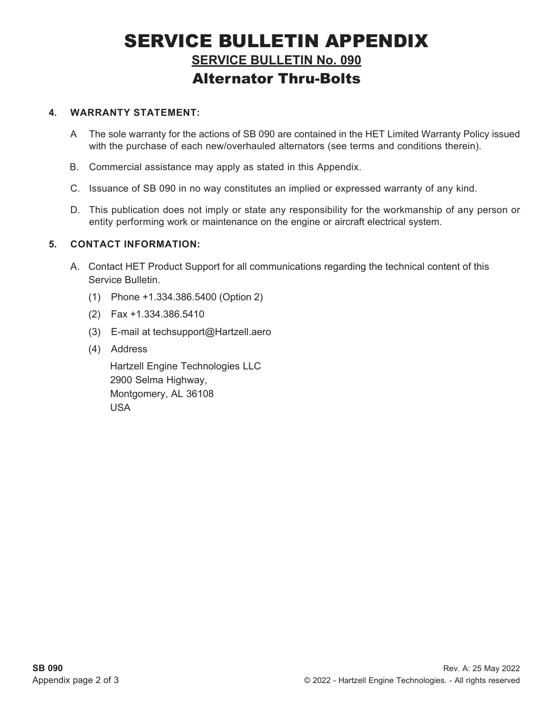## SERVICE BULLETIN APPENDIX **SERVICE BULLETIN No. 090** Alternator Thru-Bolts

#### **4. WARRANTY STATEMENT:**

- A The sole warranty for the actions of SB 090 are contained in the HET Limited Warranty Policy issued with the purchase of each new/overhauled alternators (see terms and conditions therein).
- B. Commercial assistance may apply as stated in this Appendix.
- C. Issuance of SB 090 in no way constitutes an implied or expressed warranty of any kind.
- D. This publication does not imply or state any responsibility for the workmanship of any person or entity performing work or maintenance on the engine or aircraft electrical system.

### **5. CONTACT INFORMATION:**

- A. Contact HET Product Support for all communications regarding the technical content of this Service Bulletin.
	- (1) Phone +1.334.386.5400 (Option 2)
	- (2) Fax +1.334.386.5410
	- (3) E-mail at techsupport@Hartzell.aero
	- (4) Address

Hartzell Engine Technologies LLC 2900 Selma Highway, Montgomery, AL 36108 USA